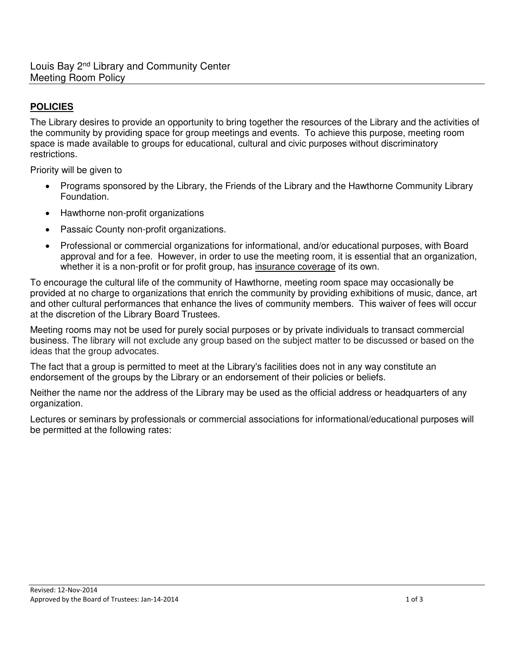## **POLICIES**

The Library desires to provide an opportunity to bring together the resources of the Library and the activities of the community by providing space for group meetings and events. To achieve this purpose, meeting room space is made available to groups for educational, cultural and civic purposes without discriminatory restrictions.

Priority will be given to

- Programs sponsored by the Library, the Friends of the Library and the Hawthorne Community Library Foundation.
- Hawthorne non-profit organizations
- Passaic County non-profit organizations.
- Professional or commercial organizations for informational, and/or educational purposes, with Board approval and for a fee. However, in order to use the meeting room, it is essential that an organization, whether it is a non-profit or for profit group, has insurance coverage of its own.

To encourage the cultural life of the community of Hawthorne, meeting room space may occasionally be provided at no charge to organizations that enrich the community by providing exhibitions of music, dance, art and other cultural performances that enhance the lives of community members. This waiver of fees will occur at the discretion of the Library Board Trustees.

Meeting rooms may not be used for purely social purposes or by private individuals to transact commercial business. The library will not exclude any group based on the subject matter to be discussed or based on the ideas that the group advocates.

The fact that a group is permitted to meet at the Library's facilities does not in any way constitute an endorsement of the groups by the Library or an endorsement of their policies or beliefs.

Neither the name nor the address of the Library may be used as the official address or headquarters of any organization.

Lectures or seminars by professionals or commercial associations for informational/educational purposes will be permitted at the following rates: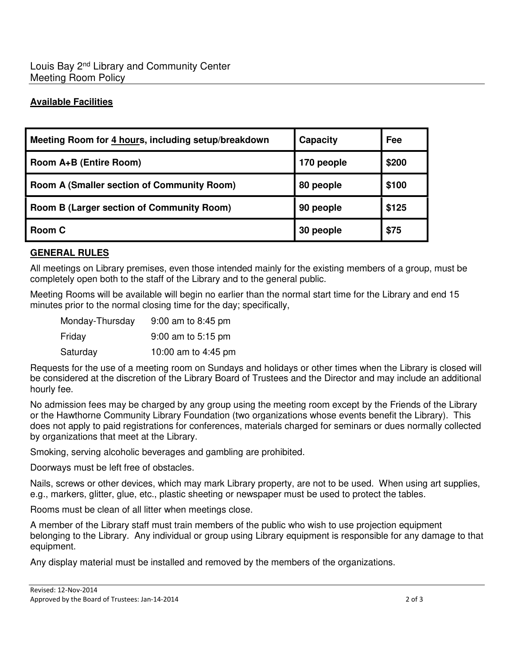## **Available Facilities**

| Meeting Room for 4 hours, including setup/breakdown | Capacity   | Fee   |
|-----------------------------------------------------|------------|-------|
| Room A+B (Entire Room)                              | 170 people | \$200 |
| <b>Room A (Smaller section of Community Room)</b>   | 80 people  | \$100 |
| <b>Room B (Larger section of Community Room)</b>    | 90 people  | \$125 |
| Room C                                              | 30 people  | \$75  |

## **GENERAL RULES**

All meetings on Library premises, even those intended mainly for the existing members of a group, must be completely open both to the staff of the Library and to the general public.

Meeting Rooms will be available will begin no earlier than the normal start time for the Library and end 15 minutes prior to the normal closing time for the day; specifically,

| Monday-Thursday | 9:00 am to 8:45 pm   |
|-----------------|----------------------|
| Friday          | $9:00$ am to 5:15 pm |
| Saturday        | 10:00 am to 4:45 pm  |

Requests for the use of a meeting room on Sundays and holidays or other times when the Library is closed will be considered at the discretion of the Library Board of Trustees and the Director and may include an additional hourly fee.

No admission fees may be charged by any group using the meeting room except by the Friends of the Library or the Hawthorne Community Library Foundation (two organizations whose events benefit the Library). This does not apply to paid registrations for conferences, materials charged for seminars or dues normally collected by organizations that meet at the Library.

Smoking, serving alcoholic beverages and gambling are prohibited.

Doorways must be left free of obstacles.

Nails, screws or other devices, which may mark Library property, are not to be used. When using art supplies, e.g., markers, glitter, glue, etc., plastic sheeting or newspaper must be used to protect the tables.

Rooms must be clean of all litter when meetings close.

A member of the Library staff must train members of the public who wish to use projection equipment belonging to the Library. Any individual or group using Library equipment is responsible for any damage to that equipment.

Any display material must be installed and removed by the members of the organizations.